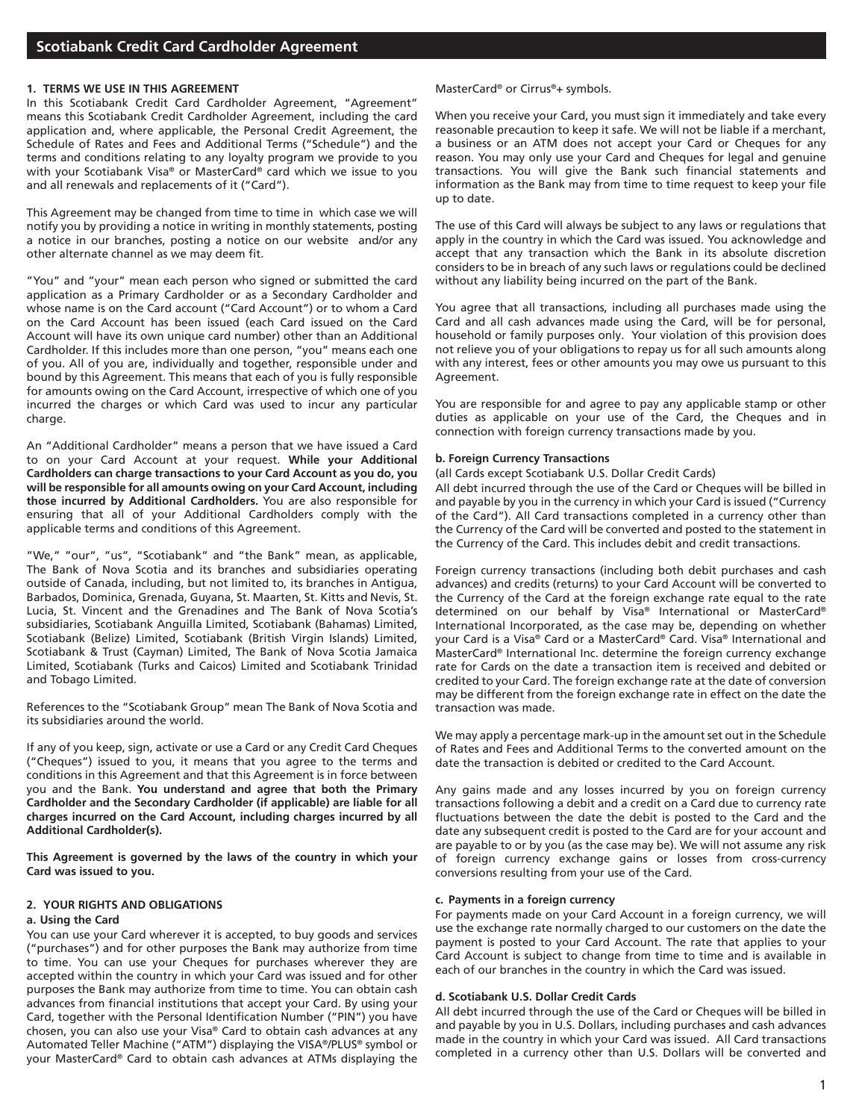## **1. TERMS WE USE IN THIS AGREEMENT**

In this Scotiabank Credit Card Cardholder Agreement, "Agreement" means this Scotiabank Credit Cardholder Agreement, including the card application and, where applicable, the Personal Credit Agreement, the Schedule of Rates and Fees and Additional Terms ("Schedule") and the terms and conditions relating to any loyalty program we provide to you with your Scotiabank Visa® or MasterCard® card which we issue to you and all renewals and replacements of it ("Card").

This Agreement may be changed from time to time in which case we will notify you by providing a notice in writing in monthly statements, posting a notice in our branches, posting a notice on our website and/or any other alternate channel as we may deem fit.

"You" and "your" mean each person who signed or submitted the card application as a Primary Cardholder or as a Secondary Cardholder and whose name is on the Card account ("Card Account") or to whom a Card on the Card Account has been issued (each Card issued on the Card Account will have its own unique card number) other than an Additional Cardholder. If this includes more than one person, "you" means each one of you. All of you are, individually and together, responsible under and bound by this Agreement. This means that each of you is fully responsible for amounts owing on the Card Account, irrespective of which one of you incurred the charges or which Card was used to incur any particular charge.

An "Additional Cardholder" means a person that we have issued a Card to on your Card Account at your request. **While your Additional Cardholders can charge transactions to your Card Account as you do, you will be responsible for all amounts owing on your Card Account, including those incurred by Additional Cardholders.** You are also responsible for ensuring that all of your Additional Cardholders comply with the applicable terms and conditions of this Agreement.

"We," "our", "us", "Scotiabank" and "the Bank" mean, as applicable, The Bank of Nova Scotia and its branches and subsidiaries operating outside of Canada, including, but not limited to, its branches in Antigua, Barbados, Dominica, Grenada, Guyana, St. Maarten, St. Kitts and Nevis, St. Lucia, St. Vincent and the Grenadines and The Bank of Nova Scotia's subsidiaries, Scotiabank Anguilla Limited, Scotiabank (Bahamas) Limited, Scotiabank (Belize) Limited, Scotiabank (British Virgin Islands) Limited, Scotiabank & Trust (Cayman) Limited, The Bank of Nova Scotia Jamaica Limited, Scotiabank (Turks and Caicos) Limited and Scotiabank Trinidad and Tobago Limited.

References to the "Scotiabank Group" mean The Bank of Nova Scotia and its subsidiaries around the world.

If any of you keep, sign, activate or use a Card or any Credit Card Cheques ("Cheques") issued to you, it means that you agree to the terms and conditions in this Agreement and that this Agreement is in force between you and the Bank. **You understand and agree that both the Primary Cardholder and the Secondary Cardholder (if applicable) are liable for all charges incurred on the Card Account, including charges incurred by all Additional Cardholder(s).**

**This Agreement is governed by the laws of the country in which your Card was issued to you.**

## **2. YOUR RIGHTS AND OBLIGATIONS**

#### **a. Using the Card**

You can use your Card wherever it is accepted, to buy goods and services ("purchases") and for other purposes the Bank may authorize from time to time. You can use your Cheques for purchases wherever they are accepted within the country in which your Card was issued and for other purposes the Bank may authorize from time to time. You can obtain cash advances from financial institutions that accept your Card. By using your Card, together with the Personal Identification Number ("PIN") you have chosen, you can also use your Visa® Card to obtain cash advances at any Automated Teller Machine ("ATM") displaying the VISA®/PLUS® symbol or your MasterCard® Card to obtain cash advances at ATMs displaying the MasterCard® or Cirrus®+ symbols.

When you receive your Card, you must sign it immediately and take every reasonable precaution to keep it safe. We will not be liable if a merchant, a business or an ATM does not accept your Card or Cheques for any reason. You may only use your Card and Cheques for legal and genuine transactions. You will give the Bank such financial statements and information as the Bank may from time to time request to keep your file up to date.

The use of this Card will always be subject to any laws or regulations that apply in the country in which the Card was issued. You acknowledge and accept that any transaction which the Bank in its absolute discretion considers to be in breach of any such laws or regulations could be declined without any liability being incurred on the part of the Bank.

You agree that all transactions, including all purchases made using the Card and all cash advances made using the Card, will be for personal, household or family purposes only. Your violation of this provision does not relieve you of your obligations to repay us for all such amounts along with any interest, fees or other amounts you may owe us pursuant to this Agreement.

You are responsible for and agree to pay any applicable stamp or other duties as applicable on your use of the Card, the Cheques and in connection with foreign currency transactions made by you.

#### **b. Foreign Currency Transactions**

(all Cards except Scotiabank U.S. Dollar Credit Cards)

All debt incurred through the use of the Card or Cheques will be billed in and payable by you in the currency in which your Card is issued ("Currency of the Card"). All Card transactions completed in a currency other than the Currency of the Card will be converted and posted to the statement in the Currency of the Card. This includes debit and credit transactions.

Foreign currency transactions (including both debit purchases and cash advances) and credits (returns) to your Card Account will be converted to the Currency of the Card at the foreign exchange rate equal to the rate determined on our behalf by Visa® International or MasterCard® International Incorporated, as the case may be, depending on whether your Card is a Visa® Card or a MasterCard® Card. Visa® International and MasterCard® International Inc. determine the foreign currency exchange rate for Cards on the date a transaction item is received and debited or credited to your Card. The foreign exchange rate at the date of conversion may be different from the foreign exchange rate in effect on the date the transaction was made.

We may apply a percentage mark-up in the amount set out in the Schedule of Rates and Fees and Additional Terms to the converted amount on the date the transaction is debited or credited to the Card Account.

Any gains made and any losses incurred by you on foreign currency transactions following a debit and a credit on a Card due to currency rate fluctuations between the date the debit is posted to the Card and the date any subsequent credit is posted to the Card are for your account and are payable to or by you (as the case may be). We will not assume any risk of foreign currency exchange gains or losses from cross-currency conversions resulting from your use of the Card.

#### **c. Payments in a foreign currency**

For payments made on your Card Account in a foreign currency, we will use the exchange rate normally charged to our customers on the date the payment is posted to your Card Account. The rate that applies to your Card Account is subject to change from time to time and is available in each of our branches in the country in which the Card was issued.

#### **d. Scotiabank U.S. Dollar Credit Cards**

All debt incurred through the use of the Card or Cheques will be billed in and payable by you in U.S. Dollars, including purchases and cash advances made in the country in which your Card was issued. All Card transactions completed in a currency other than U.S. Dollars will be converted and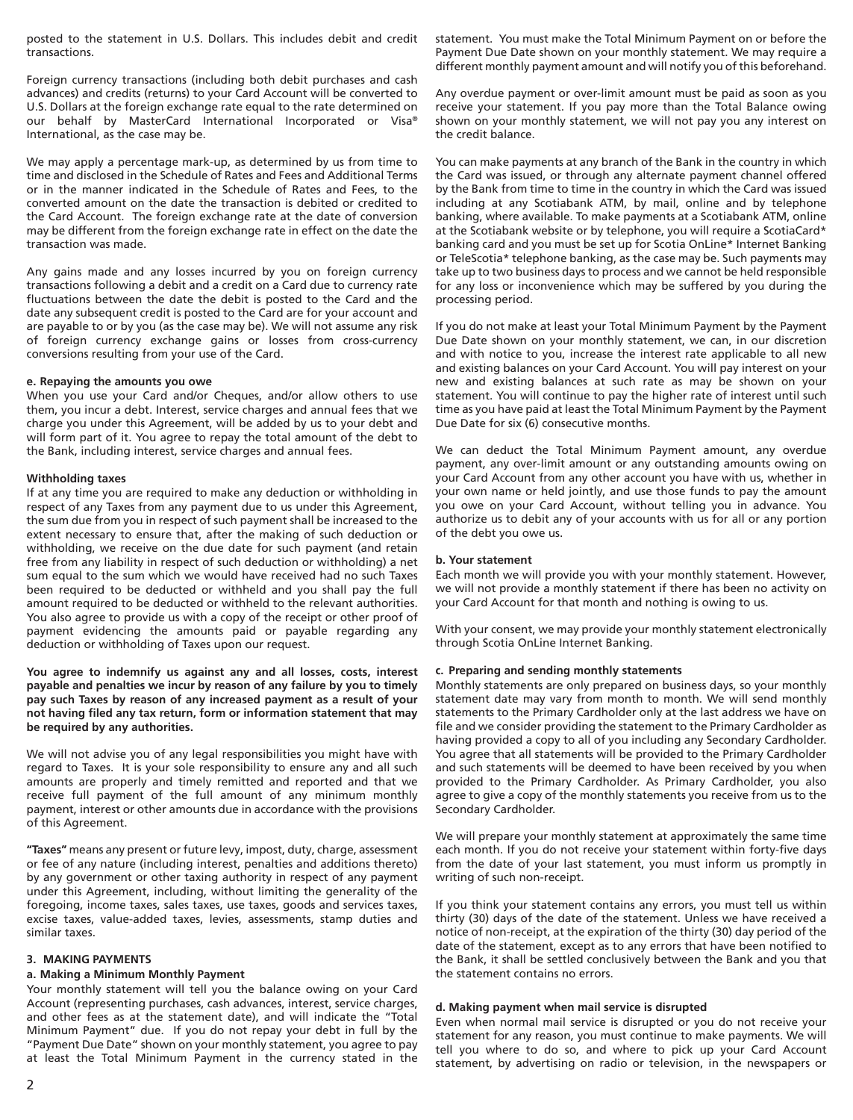posted to the statement in U.S. Dollars. This includes debit and credit transactions.

Foreign currency transactions (including both debit purchases and cash advances) and credits (returns) to your Card Account will be converted to U.S. Dollars at the foreign exchange rate equal to the rate determined on our behalf by MasterCard International Incorporated or Visa® International, as the case may be.

We may apply a percentage mark-up, as determined by us from time to time and disclosed in the Schedule of Rates and Fees and Additional Terms or in the manner indicated in the Schedule of Rates and Fees, to the converted amount on the date the transaction is debited or credited to the Card Account. The foreign exchange rate at the date of conversion may be different from the foreign exchange rate in effect on the date the transaction was made.

Any gains made and any losses incurred by you on foreign currency transactions following a debit and a credit on a Card due to currency rate fluctuations between the date the debit is posted to the Card and the date any subsequent credit is posted to the Card are for your account and are payable to or by you (as the case may be). We will not assume any risk of foreign currency exchange gains or losses from cross-currency conversions resulting from your use of the Card.

#### **e. Repaying the amounts you owe**

When you use your Card and/or Cheques, and/or allow others to use them, you incur a debt. Interest, service charges and annual fees that we charge you under this Agreement, will be added by us to your debt and will form part of it. You agree to repay the total amount of the debt to the Bank, including interest, service charges and annual fees.

# **Withholding taxes**

If at any time you are required to make any deduction or withholding in respect of any Taxes from any payment due to us under this Agreement, the sum due from you in respect of such payment shall be increased to the extent necessary to ensure that, after the making of such deduction or withholding, we receive on the due date for such payment (and retain free from any liability in respect of such deduction or withholding) a net sum equal to the sum which we would have received had no such Taxes been required to be deducted or withheld and you shall pay the full amount required to be deducted or withheld to the relevant authorities. You also agree to provide us with a copy of the receipt or other proof of payment evidencing the amounts paid or payable regarding any deduction or withholding of Taxes upon our request.

**You agree to indemnify us against any and all losses, costs, interest payable and penalties we incur by reason of any failure by you to timely pay such Taxes by reason of any increased payment as a result of your not having filed any tax return, form or information statement that may be required by any authorities.**

We will not advise you of any legal responsibilities you might have with regard to Taxes. It is your sole responsibility to ensure any and all such amounts are properly and timely remitted and reported and that we receive full payment of the full amount of any minimum monthly payment, interest or other amounts due in accordance with the provisions of this Agreement.

**"Taxes"** means any present or future levy, impost, duty, charge, assessment or fee of any nature (including interest, penalties and additions thereto) by any government or other taxing authority in respect of any payment under this Agreement, including, without limiting the generality of the foregoing, income taxes, sales taxes, use taxes, goods and services taxes, excise taxes, value-added taxes, levies, assessments, stamp duties and similar taxes.

#### **3. MAKING PAYMENTS**

#### **a. Making a Minimum Monthly Payment**

Your monthly statement will tell you the balance owing on your Card Account (representing purchases, cash advances, interest, service charges, and other fees as at the statement date), and will indicate the "Total Minimum Payment" due. If you do not repay your debt in full by the "Payment Due Date" shown on your monthly statement, you agree to pay at least the Total Minimum Payment in the currency stated in the statement. You must make the Total Minimum Payment on or before the Payment Due Date shown on your monthly statement. We may require a different monthly payment amount and will notify you of this beforehand.

Any overdue payment or over-limit amount must be paid as soon as you receive your statement. If you pay more than the Total Balance owing shown on your monthly statement, we will not pay you any interest on the credit balance.

You can make payments at any branch of the Bank in the country in which the Card was issued, or through any alternate payment channel offered by the Bank from time to time in the country in which the Card was issued including at any Scotiabank ATM, by mail, online and by telephone banking, where available. To make payments at a Scotiabank ATM, online at the Scotiabank website or by telephone, you will require a ScotiaCard\* banking card and you must be set up for Scotia OnLine\* Internet Banking or TeleScotia\* telephone banking, as the case may be. Such payments may take up to two business days to process and we cannot be held responsible for any loss or inconvenience which may be suffered by you during the processing period.

If you do not make at least your Total Minimum Payment by the Payment Due Date shown on your monthly statement, we can, in our discretion and with notice to you, increase the interest rate applicable to all new and existing balances on your Card Account. You will pay interest on your new and existing balances at such rate as may be shown on your statement. You will continue to pay the higher rate of interest until such time as you have paid at least the Total Minimum Payment by the Payment Due Date for six (6) consecutive months.

We can deduct the Total Minimum Payment amount, any overdue payment, any over-limit amount or any outstanding amounts owing on your Card Account from any other account you have with us, whether in your own name or held jointly, and use those funds to pay the amount you owe on your Card Account, without telling you in advance. You authorize us to debit any of your accounts with us for all or any portion of the debt you owe us.

#### **b. Your statement**

Each month we will provide you with your monthly statement. However, we will not provide a monthly statement if there has been no activity on your Card Account for that month and nothing is owing to us.

With your consent, we may provide your monthly statement electronically through Scotia OnLine Internet Banking.

#### **c. Preparing and sending monthly statements**

Monthly statements are only prepared on business days, so your monthly statement date may vary from month to month. We will send monthly statements to the Primary Cardholder only at the last address we have on file and we consider providing the statement to the Primary Cardholder as having provided a copy to all of you including any Secondary Cardholder. You agree that all statements will be provided to the Primary Cardholder and such statements will be deemed to have been received by you when provided to the Primary Cardholder. As Primary Cardholder, you also agree to give a copy of the monthly statements you receive from us to the Secondary Cardholder.

We will prepare your monthly statement at approximately the same time each month. If you do not receive your statement within forty-five days from the date of your last statement, you must inform us promptly in writing of such non-receipt.

If you think your statement contains any errors, you must tell us within thirty (30) days of the date of the statement. Unless we have received a notice of non-receipt, at the expiration of the thirty (30) day period of the date of the statement, except as to any errors that have been notified to the Bank, it shall be settled conclusively between the Bank and you that the statement contains no errors.

## **d. Making payment when mail service is disrupted**

Even when normal mail service is disrupted or you do not receive your statement for any reason, you must continue to make payments. We will tell you where to do so, and where to pick up your Card Account statement, by advertising on radio or television, in the newspapers or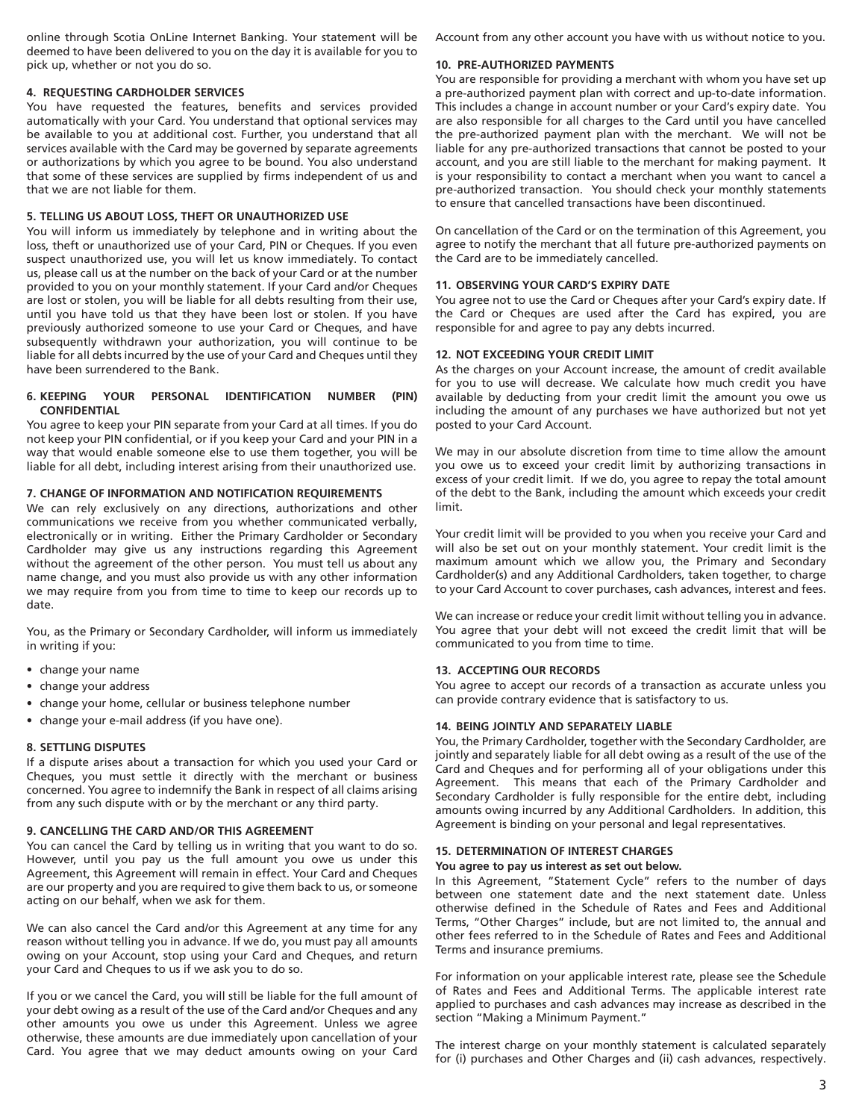online through Scotia OnLine Internet Banking. Your statement will be deemed to have been delivered to you on the day it is available for you to pick up, whether or not you do so.

## **4. REQUESTING CARDHOLDER SERVICES**

You have requested the features, benefits and services provided automatically with your Card. You understand that optional services may be available to you at additional cost. Further, you understand that all services available with the Card may be governed by separate agreements or authorizations by which you agree to be bound. You also understand that some of these services are supplied by firms independent of us and that we are not liable for them.

# **5. TELLING US ABOUT LOSS, THEFT OR UNAUTHORIZED USE**

You will inform us immediately by telephone and in writing about the loss, theft or unauthorized use of your Card, PIN or Cheques. If you even suspect unauthorized use, you will let us know immediately. To contact us, please call us at the number on the back of your Card or at the number provided to you on your monthly statement. If your Card and/or Cheques are lost or stolen, you will be liable for all debts resulting from their use, until you have told us that they have been lost or stolen. If you have previously authorized someone to use your Card or Cheques, and have subsequently withdrawn your authorization, you will continue to be liable for all debts incurred by the use of your Card and Cheques until they have been surrendered to the Bank.

## **6. KEEPING YOUR PERSONAL IDENTIFICATION NUMBER (PIN) CONFIDENTIAL**

You agree to keep your PIN separate from your Card at all times. If you do not keep your PIN confidential, or if you keep your Card and your PIN in a way that would enable someone else to use them together, you will be liable for all debt, including interest arising from their unauthorized use.

## **7. CHANGE OF INFORMATION AND NOTIFICATION REQUIREMENTS**

We can rely exclusively on any directions, authorizations and other communications we receive from you whether communicated verbally, electronically or in writing. Either the Primary Cardholder or Secondary Cardholder may give us any instructions regarding this Agreement without the agreement of the other person. You must tell us about any name change, and you must also provide us with any other information we may require from you from time to time to keep our records up to date.

You, as the Primary or Secondary Cardholder, will inform us immediately in writing if you:

- change your name
- change your address
- change your home, cellular or business telephone number
- change your e-mail address (if you have one).

## **8. SETTLING DISPUTES**

If a dispute arises about a transaction for which you used your Card or Cheques, you must settle it directly with the merchant or business concerned. You agree to indemnify the Bank in respect of all claims arising from any such dispute with or by the merchant or any third party.

## **9. CANCELLING THE CARD AND/OR THIS AGREEMENT**

You can cancel the Card by telling us in writing that you want to do so. However, until you pay us the full amount you owe us under this Agreement, this Agreement will remain in effect. Your Card and Cheques are our property and you are required to give them back to us, or someone acting on our behalf, when we ask for them.

We can also cancel the Card and/or this Agreement at any time for any reason without telling you in advance. If we do, you must pay all amounts owing on your Account, stop using your Card and Cheques, and return your Card and Cheques to us if we ask you to do so.

If you or we cancel the Card, you will still be liable for the full amount of your debt owing as a result of the use of the Card and/or Cheques and any other amounts you owe us under this Agreement. Unless we agree otherwise, these amounts are due immediately upon cancellation of your Card. You agree that we may deduct amounts owing on your Card Account from any other account you have with us without notice to you.

## **10. PRE-AUTHORIZED PAYMENTS**

You are responsible for providing a merchant with whom you have set up a pre-authorized payment plan with correct and up-to-date information. This includes a change in account number or your Card's expiry date. You are also responsible for all charges to the Card until you have cancelled the pre-authorized payment plan with the merchant. We will not be liable for any pre-authorized transactions that cannot be posted to your account, and you are still liable to the merchant for making payment. It is your responsibility to contact a merchant when you want to cancel a pre-authorized transaction. You should check your monthly statements to ensure that cancelled transactions have been discontinued.

On cancellation of the Card or on the termination of this Agreement, you agree to notify the merchant that all future pre-authorized payments on the Card are to be immediately cancelled.

## **11. OBSERVING YOUR CARD'S EXPIRY DATE**

You agree not to use the Card or Cheques after your Card's expiry date. If the Card or Cheques are used after the Card has expired, you are responsible for and agree to pay any debts incurred.

## **12. NOT EXCEEDING YOUR CREDIT LIMIT**

As the charges on your Account increase, the amount of credit available for you to use will decrease. We calculate how much credit you have available by deducting from your credit limit the amount you owe us including the amount of any purchases we have authorized but not yet posted to your Card Account.

We may in our absolute discretion from time to time allow the amount you owe us to exceed your credit limit by authorizing transactions in excess of your credit limit. If we do, you agree to repay the total amount of the debt to the Bank, including the amount which exceeds your credit limit.

Your credit limit will be provided to you when you receive your Card and will also be set out on your monthly statement. Your credit limit is the maximum amount which we allow you, the Primary and Secondary Cardholder(s) and any Additional Cardholders, taken together, to charge to your Card Account to cover purchases, cash advances, interest and fees.

We can increase or reduce your credit limit without telling you in advance. You agree that your debt will not exceed the credit limit that will be communicated to you from time to time.

## **13. ACCEPTING OUR RECORDS**

You agree to accept our records of a transaction as accurate unless you can provide contrary evidence that is satisfactory to us.

## **14. BEING JOINTLY AND SEPARATELY LIABLE**

You, the Primary Cardholder, together with the Secondary Cardholder, are jointly and separately liable for all debt owing as a result of the use of the Card and Cheques and for performing all of your obligations under this Agreement. This means that each of the Primary Cardholder and Secondary Cardholder is fully responsible for the entire debt, including amounts owing incurred by any Additional Cardholders. In addition, this Agreement is binding on your personal and legal representatives.

## **15. DETERMINATION OF INTEREST CHARGES**

## **You agree to pay us interest as set out below.**

In this Agreement, "Statement Cycle" refers to the number of days between one statement date and the next statement date. Unless otherwise defined in the Schedule of Rates and Fees and Additional Terms, "Other Charges" include, but are not limited to, the annual and other fees referred to in the Schedule of Rates and Fees and Additional Terms and insurance premiums.

For information on your applicable interest rate, please see the Schedule of Rates and Fees and Additional Terms. The applicable interest rate applied to purchases and cash advances may increase as described in the section "Making a Minimum Payment."

The interest charge on your monthly statement is calculated separately for (i) purchases and Other Charges and (ii) cash advances, respectively.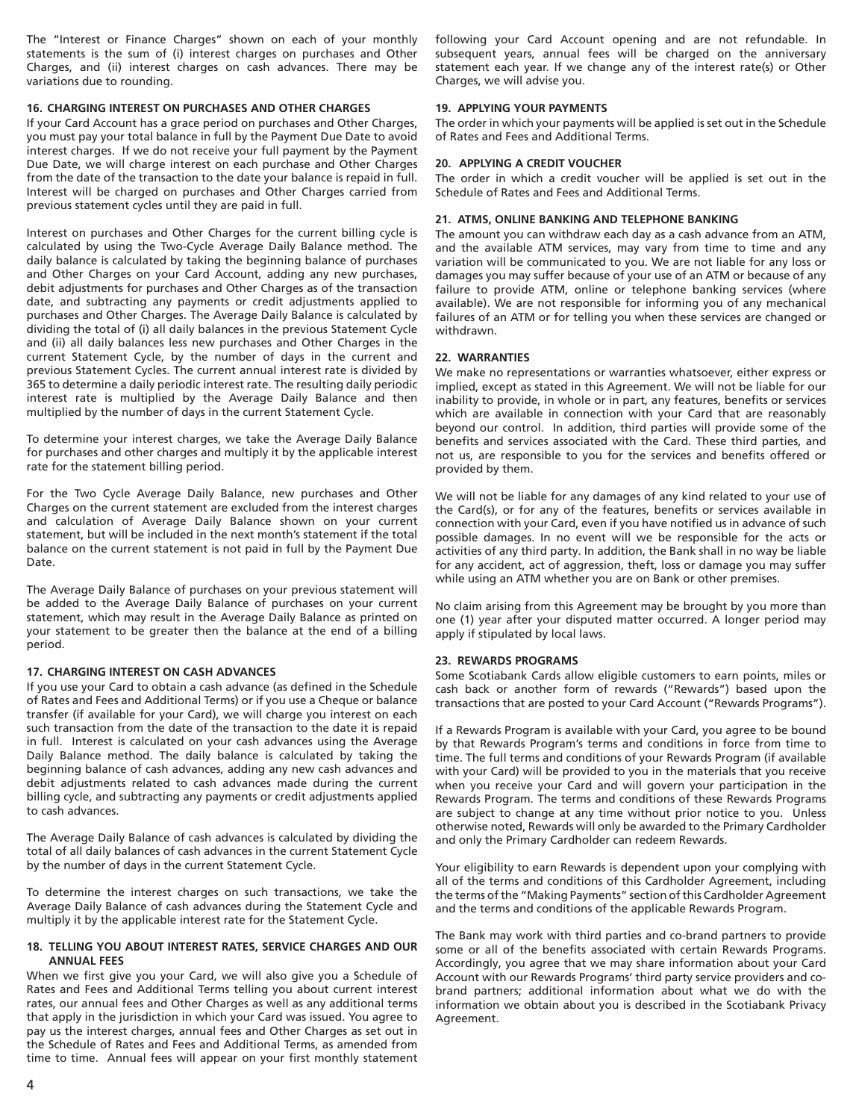The "Interest or Finance Charges" shown on each of your monthly statements is the sum of (i) interest charges on purchases and Other Charges, and (ii) interest charges on cash advances. There may be variations due to rounding.

#### **16. CHARGING INTEREST ON PURCHASES AND OTHER CHARGES**

If your Card Account has a grace period on purchases and Other Charges, you must pay your total balance in full by the Payment Due Date to avoid interest charges. If we do not receive your full payment by the Payment Due Date, we will charge interest on each purchase and Other Charges from the date of the transaction to the date your balance is repaid in full. Interest will be charged on purchases and Other Charges carried from previous statement cycles until they are paid in full.

Interest on purchases and Other Charges for the current billing cycle is calculated by using the Two-Cycle Average Daily Balance method. The daily balance is calculated by taking the beginning balance of purchases and Other Charges on your Card Account, adding any new purchases, debit adjustments for purchases and Other Charges as of the transaction date, and subtracting any payments or credit adjustments applied to purchases and Other Charges. The Average Daily Balance is calculated by dividing the total of (i) all daily balances in the previous Statement Cycle and (ii) all daily balances less new purchases and Other Charges in the current Statement Cycle, by the number of days in the current and previous Statement Cycles. The current annual interest rate is divided by 365 to determine a daily periodic interest rate. The resulting daily periodic interest rate is multiplied by the Average Daily Balance and then multiplied by the number of days in the current Statement Cycle.

To determine your interest charges, we take the Average Daily Balance for purchases and other charges and multiply it by the applicable interest rate for the statement billing period.

For the Two Cycle Average Daily Balance, new purchases and Other Charges on the current statement are excluded from the interest charges and calculation of Average Daily Balance shown on your current statement, but will be included in the next month's statement if the total balance on the current statement is not paid in full by the Payment Due Date.

The Average Daily Balance of purchases on your previous statement will be added to the Average Daily Balance of purchases on your current statement, which may result in the Average Daily Balance as printed on your statement to be greater then the balance at the end of a billing period.

#### **17. CHARGING INTEREST ON CASH ADVANCES**

If you use your Card to obtain a cash advance (as defined in the Schedule of Rates and Fees and Additional Terms) or if you use a Cheque or balance transfer (if available for your Card), we will charge you interest on each such transaction from the date of the transaction to the date it is repaid in full. Interest is calculated on your cash advances using the Average Daily Balance method. The daily balance is calculated by taking the beginning balance of cash advances, adding any new cash advances and debit adjustments related to cash advances made during the current billing cycle, and subtracting any payments or credit adjustments applied to cash advances.

The Average Daily Balance of cash advances is calculated by dividing the total of all daily balances of cash advances in the current Statement Cycle by the number of days in the current Statement Cycle.

To determine the interest charges on such transactions, we take the Average Daily Balance of cash advances during the Statement Cycle and multiply it by the applicable interest rate for the Statement Cycle.

## **18. TELLING YOU ABOUT INTEREST RATES, SERVICE CHARGES AND OUR ANNUAL FEES**

When we first give you your Card, we will also give you a Schedule of Rates and Fees and Additional Terms telling you about current interest rates, our annual fees and Other Charges as well as any additional terms that apply in the jurisdiction in which your Card was issued. You agree to pay us the interest charges, annual fees and Other Charges as set out in the Schedule of Rates and Fees and Additional Terms, as amended from time to time. Annual fees will appear on your first monthly statement

following your Card Account opening and are not refundable. In subsequent years, annual fees will be charged on the anniversary statement each year. If we change any of the interest rate(s) or Other Charges, we will advise you.

# **19. APPLYING YOUR PAYMENTS**

The order in which your payments will be applied is set out in the Schedule of Rates and Fees and Additional Terms.

# **20. APPLYING A CREDIT VOUCHER**

The order in which a credit voucher will be applied is set out in the Schedule of Rates and Fees and Additional Terms.

# **21. ATMS, ONLINE BANKING AND TELEPHONE BANKING**

The amount you can withdraw each day as a cash advance from an ATM, and the available ATM services, may vary from time to time and any variation will be communicated to you. We are not liable for any loss or damages you may suffer because of your use of an ATM or because of any failure to provide ATM, online or telephone banking services (where available). We are not responsible for informing you of any mechanical failures of an ATM or for telling you when these services are changed or withdrawn.

## **22. WARRANTIES**

We make no representations or warranties whatsoever, either express or implied, except as stated in this Agreement. We will not be liable for our inability to provide, in whole or in part, any features, benefits or services which are available in connection with your Card that are reasonably beyond our control. In addition, third parties will provide some of the benefits and services associated with the Card. These third parties, and not us, are responsible to you for the services and benefits offered or provided by them.

We will not be liable for any damages of any kind related to your use of the Card(s), or for any of the features, benefits or services available in connection with your Card, even if you have notified us in advance of such possible damages. In no event will we be responsible for the acts or activities of any third party. In addition, the Bank shall in no way be liable for any accident, act of aggression, theft, loss or damage you may suffer while using an ATM whether you are on Bank or other premises.

No claim arising from this Agreement may be brought by you more than one (1) year after your disputed matter occurred. A longer period may apply if stipulated by local laws.

#### **23. REWARDS PROGRAMS**

Some Scotiabank Cards allow eligible customers to earn points, miles or cash back or another form of rewards ("Rewards") based upon the transactions that are posted to your Card Account ("Rewards Programs").

If a Rewards Program is available with your Card, you agree to be bound by that Rewards Program's terms and conditions in force from time to time. The full terms and conditions of your Rewards Program (if available with your Card) will be provided to you in the materials that you receive when you receive your Card and will govern your participation in the Rewards Program. The terms and conditions of these Rewards Programs are subject to change at any time without prior notice to you. Unless otherwise noted, Rewards will only be awarded to the Primary Cardholder and only the Primary Cardholder can redeem Rewards.

Your eligibility to earn Rewards is dependent upon your complying with all of the terms and conditions of this Cardholder Agreement, including the terms of the "Making Payments" section of this Cardholder Agreement and the terms and conditions of the applicable Rewards Program.

The Bank may work with third parties and co-brand partners to provide some or all of the benefits associated with certain Rewards Programs. Accordingly, you agree that we may share information about your Card Account with our Rewards Programs' third party service providers and cobrand partners; additional information about what we do with the information we obtain about you is described in the Scotiabank Privacy Agreement.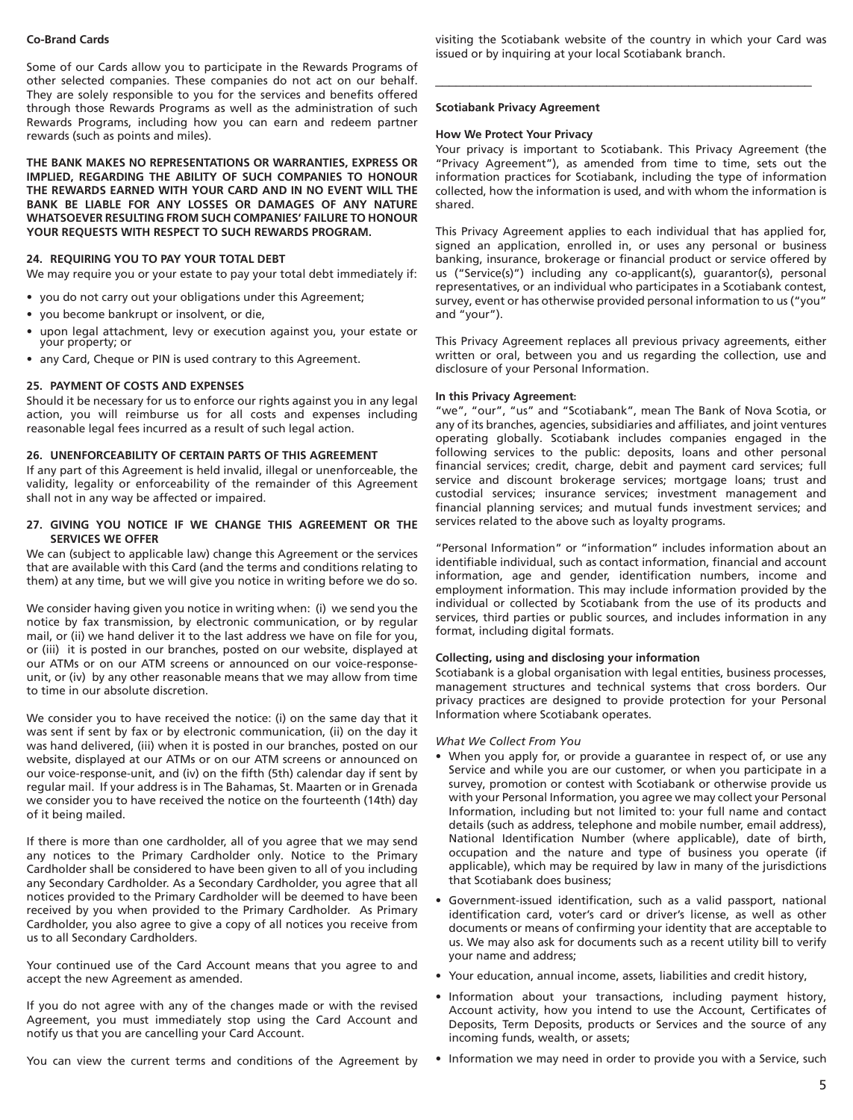#### **Co-Brand Cards**

Some of our Cards allow you to participate in the Rewards Programs of other selected companies. These companies do not act on our behalf. They are solely responsible to you for the services and benefits offered through those Rewards Programs as well as the administration of such Rewards Programs, including how you can earn and redeem partner rewards (such as points and miles).

**THE BANK MAKES NO REPRESENTATIONS OR WARRANTIES, EXPRESS OR IMPLIED, REGARDING THE ABILITY OF SUCH COMPANIES TO HONOUR THE REWARDS EARNED WITH YOUR CARD AND IN NO EVENT WILL THE BANK BE LIABLE FOR ANY LOSSES OR DAMAGES OF ANY NATURE WHATSOEVER RESULTING FROM SUCH COMPANIES' FAILURE TO HONOUR YOUR REQUESTS WITH RESPECT TO SUCH REWARDS PROGRAM.**

#### **24. REQUIRING YOU TO PAY YOUR TOTAL DEBT**

We may require you or your estate to pay your total debt immediately if:

- you do not carry out your obligations under this Agreement;
- you become bankrupt or insolvent, or die,
- upon legal attachment, levy or execution against you, your estate or your property; or
- any Card, Cheque or PIN is used contrary to this Agreement.

#### **25. PAYMENT OF COSTS AND EXPENSES**

Should it be necessary for us to enforce our rights against you in any legal action, you will reimburse us for all costs and expenses including reasonable legal fees incurred as a result of such legal action.

#### **26. UNENFORCEABILITY OF CERTAIN PARTS OF THIS AGREEMENT**

If any part of this Agreement is held invalid, illegal or unenforceable, the validity, legality or enforceability of the remainder of this Agreement shall not in any way be affected or impaired.

### **27. GIVING YOU NOTICE IF WE CHANGE THIS AGREEMENT OR THE SERVICES WE OFFER**

We can (subject to applicable law) change this Agreement or the services that are available with this Card (and the terms and conditions relating to them) at any time, but we will give you notice in writing before we do so.

We consider having given you notice in writing when: (i) we send you the notice by fax transmission, by electronic communication, or by regular mail, or (ii) we hand deliver it to the last address we have on file for you, or (iii) it is posted in our branches, posted on our website, displayed at our ATMs or on our ATM screens or announced on our voice-responseunit, or (iv) by any other reasonable means that we may allow from time to time in our absolute discretion.

We consider you to have received the notice: (i) on the same day that it was sent if sent by fax or by electronic communication, (ii) on the day it was hand delivered, (iii) when it is posted in our branches, posted on our website, displayed at our ATMs or on our ATM screens or announced on our voice-response-unit, and (iv) on the fifth (5th) calendar day if sent by regular mail. If your address is in The Bahamas, St. Maarten or in Grenada we consider you to have received the notice on the fourteenth (14th) day of it being mailed.

If there is more than one cardholder, all of you agree that we may send any notices to the Primary Cardholder only. Notice to the Primary Cardholder shall be considered to have been given to all of you including any Secondary Cardholder. As a Secondary Cardholder, you agree that all notices provided to the Primary Cardholder will be deemed to have been received by you when provided to the Primary Cardholder. As Primary Cardholder, you also agree to give a copy of all notices you receive from us to all Secondary Cardholders.

Your continued use of the Card Account means that you agree to and accept the new Agreement as amended.

If you do not agree with any of the changes made or with the revised Agreement, you must immediately stop using the Card Account and notify us that you are cancelling your Card Account.

You can view the current terms and conditions of the Agreement by

visiting the Scotiabank website of the country in which your Card was issued or by inquiring at your local Scotiabank branch.

 $\mathcal{L}_\text{max}$  , and the set of the set of the set of the set of the set of the set of the set of the set of the set of the set of the set of the set of the set of the set of the set of the set of the set of the set of the

#### **Scotiabank Privacy Agreement**

## **How We Protect Your Privacy**

Your privacy is important to Scotiabank. This Privacy Agreement (the "Privacy Agreement"), as amended from time to time, sets out the information practices for Scotiabank, including the type of information collected, how the information is used, and with whom the information is shared.

This Privacy Agreement applies to each individual that has applied for, signed an application, enrolled in, or uses any personal or business banking, insurance, brokerage or financial product or service offered by us ("Service(s)") including any co-applicant(s), guarantor(s), personal representatives, or an individual who participates in a Scotiabank contest, survey, event or has otherwise provided personal information to us ("you" and "your").

This Privacy Agreement replaces all previous privacy agreements, either written or oral, between you and us regarding the collection, use and disclosure of your Personal Information.

#### **In this Privacy Agreement:**

"we", "our", "us" and "Scotiabank", mean The Bank of Nova Scotia, or any of its branches, agencies, subsidiaries and affiliates, and joint ventures operating globally. Scotiabank includes companies engaged in the following services to the public: deposits, loans and other personal financial services; credit, charge, debit and payment card services; full service and discount brokerage services; mortgage loans; trust and custodial services; insurance services; investment management and financial planning services; and mutual funds investment services; and services related to the above such as loyalty programs.

"Personal Information" or "information" includes information about an identifiable individual, such as contact information, financial and account information, age and gender, identification numbers, income and employment information. This may include information provided by the individual or collected by Scotiabank from the use of its products and services, third parties or public sources, and includes information in any format, including digital formats.

#### **Collecting, using and disclosing your information**

Scotiabank is a global organisation with legal entities, business processes, management structures and technical systems that cross borders. Our privacy practices are designed to provide protection for your Personal Information where Scotiabank operates.

#### *What We Collect From You*

- When you apply for, or provide a guarantee in respect of, or use any Service and while you are our customer, or when you participate in a survey, promotion or contest with Scotiabank or otherwise provide us with your Personal Information, you agree we may collect your Personal Information, including but not limited to: your full name and contact details (such as address, telephone and mobile number, email address), National Identification Number (where applicable), date of birth, occupation and the nature and type of business you operate (if applicable), which may be required by law in many of the jurisdictions that Scotiabank does business;
- Government-issued identification, such as a valid passport, national identification card, voter's card or driver's license, as well as other documents or means of confirming your identity that are acceptable to us. We may also ask for documents such as a recent utility bill to verify your name and address;
- Your education, annual income, assets, liabilities and credit history,
- Information about your transactions, including payment history, Account activity, how you intend to use the Account, Certificates of Deposits, Term Deposits, products or Services and the source of any incoming funds, wealth, or assets;
- Information we may need in order to provide you with a Service, such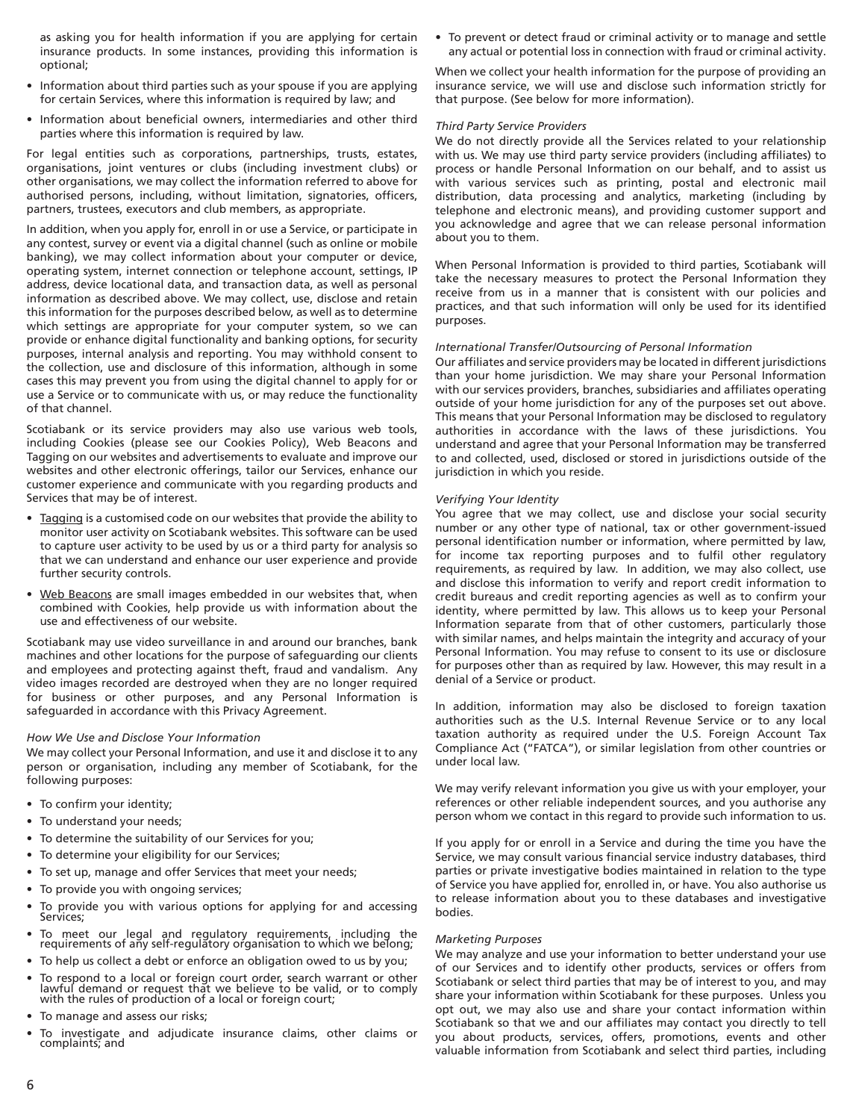as asking you for health information if you are applying for certain insurance products. In some instances, providing this information is optional;

- Information about third parties such as your spouse if you are applying for certain Services, where this information is required by law; and
- Information about beneficial owners, intermediaries and other third parties where this information is required by law.

For legal entities such as corporations, partnerships, trusts, estates, organisations, joint ventures or clubs (including investment clubs) or other organisations, we may collect the information referred to above for authorised persons, including, without limitation, signatories, officers, partners, trustees, executors and club members, as appropriate.

In addition, when you apply for, enroll in or use a Service, or participate in any contest, survey or event via a digital channel (such as online or mobile banking), we may collect information about your computer or device, operating system, internet connection or telephone account, settings, IP address, device locational data, and transaction data, as well as personal information as described above. We may collect, use, disclose and retain this information for the purposes described below, as well as to determine which settings are appropriate for your computer system, so we can provide or enhance digital functionality and banking options, for security purposes, internal analysis and reporting. You may withhold consent to the collection, use and disclosure of this information, although in some cases this may prevent you from using the digital channel to apply for or use a Service or to communicate with us, or may reduce the functionality of that channel.

Scotiabank or its service providers may also use various web tools, including Cookies (please see our Cookies Policy), Web Beacons and Tagging on our websites and advertisements to evaluate and improve our websites and other electronic offerings, tailor our Services, enhance our customer experience and communicate with you regarding products and Services that may be of interest.

- Tagging is a customised code on our websites that provide the ability to monitor user activity on Scotiabank websites. This software can be used to capture user activity to be used by us or a third party for analysis so that we can understand and enhance our user experience and provide further security controls.
- Web Beacons are small images embedded in our websites that, when combined with Cookies, help provide us with information about the use and effectiveness of our website.

Scotiabank may use video surveillance in and around our branches, bank machines and other locations for the purpose of safeguarding our clients and employees and protecting against theft, fraud and vandalism. Any video images recorded are destroyed when they are no longer required for business or other purposes, and any Personal Information is safeguarded in accordance with this Privacy Agreement.

#### *How We Use and Disclose Your Information*

We may collect your Personal Information, and use it and disclose it to any person or organisation, including any member of Scotiabank, for the following purposes:

- To confirm your identity;
- To understand your needs;
- To determine the suitability of our Services for you;
- To determine your eligibility for our Services;
- To set up, manage and offer Services that meet your needs;
- To provide you with ongoing services;
- To provide you with various options for applying for and accessing Services;
- To meet our legal and regulatory requirements, including the requirements of any self-regulatory organisation to which we belong;
- To help us collect a debt or enforce an obligation owed to us by you;
- To respond to a local or foreign court order, search warrant or other lawful demand or request that we believe to be valid, or to comply with the rules of production of a local or foreign court;
- To manage and assess our risks;
- To investigate and adjudicate insurance claims, other claims or complaints; and

• To prevent or detect fraud or criminal activity or to manage and settle any actual or potential loss in connection with fraud or criminal activity.

When we collect your health information for the purpose of providing an insurance service, we will use and disclose such information strictly for that purpose. (See below for more information).

#### *Third Party Service Providers*

We do not directly provide all the Services related to your relationship with us. We may use third party service providers (including affiliates) to process or handle Personal Information on our behalf, and to assist us with various services such as printing, postal and electronic mail distribution, data processing and analytics, marketing (including by telephone and electronic means), and providing customer support and you acknowledge and agree that we can release personal information about you to them.

When Personal Information is provided to third parties, Scotiabank will take the necessary measures to protect the Personal Information they receive from us in a manner that is consistent with our policies and practices, and that such information will only be used for its identified purposes.

#### *International Transfer/Outsourcing of Personal Information*

Our affiliates and service providers may be located in different jurisdictions than your home jurisdiction. We may share your Personal Information with our services providers, branches, subsidiaries and affiliates operating outside of your home jurisdiction for any of the purposes set out above. This means that your Personal Information may be disclosed to regulatory authorities in accordance with the laws of these jurisdictions. You understand and agree that your Personal Information may be transferred to and collected, used, disclosed or stored in jurisdictions outside of the jurisdiction in which you reside.

#### *Verifying Your Identity*

You agree that we may collect, use and disclose your social security number or any other type of national, tax or other government-issued personal identification number or information, where permitted by law, for income tax reporting purposes and to fulfil other regulatory requirements, as required by law. In addition, we may also collect, use and disclose this information to verify and report credit information to credit bureaus and credit reporting agencies as well as to confirm your identity, where permitted by law. This allows us to keep your Personal Information separate from that of other customers, particularly those with similar names, and helps maintain the integrity and accuracy of your Personal Information. You may refuse to consent to its use or disclosure for purposes other than as required by law. However, this may result in a denial of a Service or product.

In addition, information may also be disclosed to foreign taxation authorities such as the U.S. Internal Revenue Service or to any local taxation authority as required under the U.S. Foreign Account Tax Compliance Act ("FATCA"), or similar legislation from other countries or under local law.

We may verify relevant information you give us with your employer, your references or other reliable independent sources, and you authorise any person whom we contact in this regard to provide such information to us.

If you apply for or enroll in a Service and during the time you have the Service, we may consult various financial service industry databases, third parties or private investigative bodies maintained in relation to the type of Service you have applied for, enrolled in, or have. You also authorise us to release information about you to these databases and investigative bodies.

#### *Marketing Purposes*

We may analyze and use your information to better understand your use of our Services and to identify other products, services or offers from Scotiabank or select third parties that may be of interest to you, and may share your information within Scotiabank for these purposes. Unless you opt out, we may also use and share your contact information within Scotiabank so that we and our affiliates may contact you directly to tell you about products, services, offers, promotions, events and other valuable information from Scotiabank and select third parties, including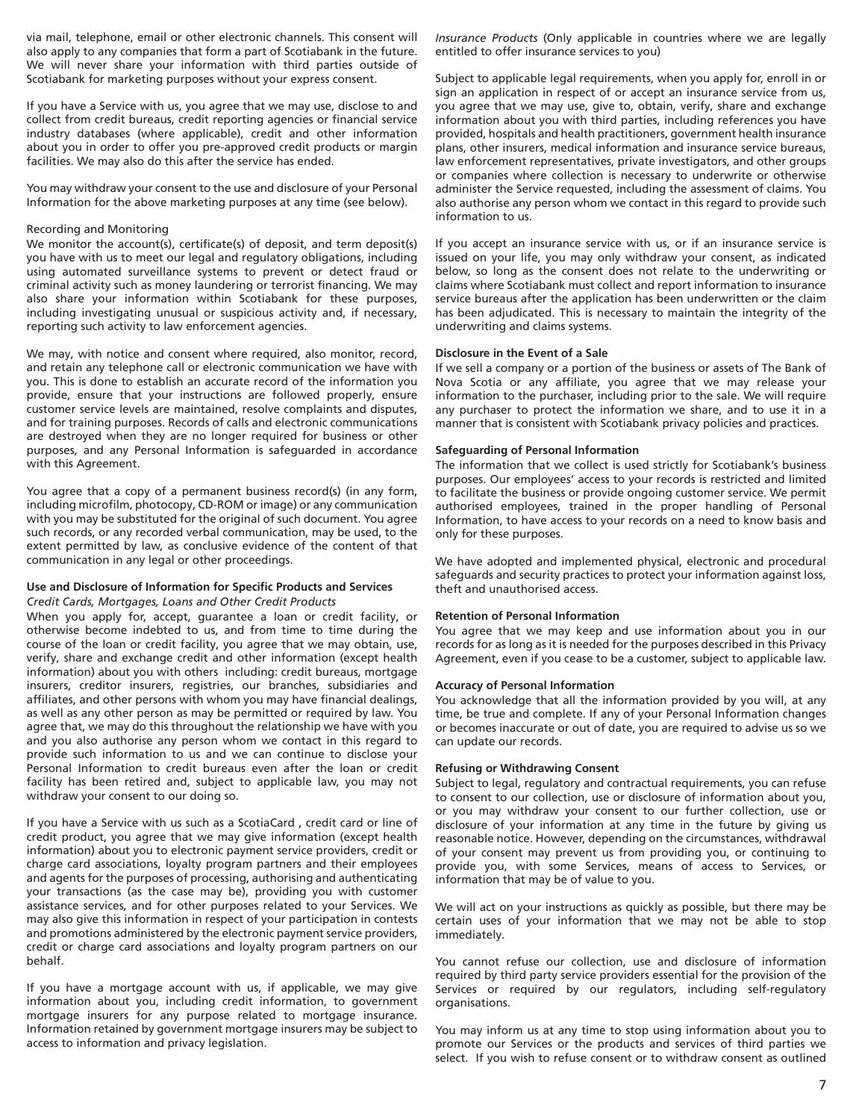via mail, telephone, email or other electronic channels. This consent will also apply to any companies that form a part of Scotiabank in the future. We will never share your information with third parties outside of Scotiabank for marketing purposes without your express consent.

If you have a Service with us, you agree that we may use, disclose to and collect from credit bureaus, credit reporting agencies or financial service industry databases (where applicable), credit and other information about you in order to offer you pre-approved credit products or margin facilities. We may also do this after the service has ended.

You may withdraw your consent to the use and disclosure of your Personal Information for the above marketing purposes at any time (see below).

### Recording and Monitoring

We monitor the account(s), certificate(s) of deposit, and term deposit(s) you have with us to meet our legal and regulatory obligations, including using automated surveillance systems to prevent or detect fraud or criminal activity such as money laundering or terrorist financing. We may also share your information within Scotiabank for these purposes, including investigating unusual or suspicious activity and, if necessary, reporting such activity to law enforcement agencies.

We may, with notice and consent where required, also monitor, record, and retain any telephone call or electronic communication we have with you. This is done to establish an accurate record of the information you provide, ensure that your instructions are followed properly, ensure customer service levels are maintained, resolve complaints and disputes, and for training purposes. Records of calls and electronic communications are destroyed when they are no longer required for business or other purposes, and any Personal Information is safeguarded in accordance with this Agreement.

You agree that a copy of a permanent business record(s) (in any form, including microfilm, photocopy, CD-ROM or image) or any communication with you may be substituted for the original of such document. You agree such records, or any recorded verbal communication, may be used, to the extent permitted by law, as conclusive evidence of the content of that communication in any legal or other proceedings.

#### **Use and Disclosure of Information for Specific Products and Services** *Credit Cards, Mortgages, Loans and Other Credit Products*

When you apply for, accept, guarantee a loan or credit facility, or otherwise become indebted to us, and from time to time during the course of the loan or credit facility, you agree that we may obtain, use, verify, share and exchange credit and other information (except health information) about you with others including: credit bureaus, mortgage insurers, creditor insurers, registries, our branches, subsidiaries and affiliates, and other persons with whom you may have financial dealings, as well as any other person as may be permitted or required by law. You agree that, we may do this throughout the relationship we have with you and you also authorise any person whom we contact in this regard to provide such information to us and we can continue to disclose your Personal Information to credit bureaus even after the loan or credit facility has been retired and, subject to applicable law, you may not withdraw your consent to our doing so.

If you have a Service with us such as a ScotiaCard , credit card or line of credit product, you agree that we may give information (except health information) about you to electronic payment service providers, credit or charge card associations, loyalty program partners and their employees and agents for the purposes of processing, authorising and authenticating your transactions (as the case may be), providing you with customer assistance services, and for other purposes related to your Services. We may also give this information in respect of your participation in contests and promotions administered by the electronic payment service providers, credit or charge card associations and loyalty program partners on our behalf.

If you have a mortgage account with us, if applicable, we may give information about you, including credit information, to government mortgage insurers for any purpose related to mortgage insurance. Information retained by government mortgage insurers may be subject to access to information and privacy legislation.

*Insurance Products* (Only applicable in countries where we are legally entitled to offer insurance services to you)

Subject to applicable legal requirements, when you apply for, enroll in or sign an application in respect of or accept an insurance service from us, you agree that we may use, give to, obtain, verify, share and exchange information about you with third parties, including references you have provided, hospitals and health practitioners, government health insurance plans, other insurers, medical information and insurance service bureaus, law enforcement representatives, private investigators, and other groups or companies where collection is necessary to underwrite or otherwise administer the Service requested, including the assessment of claims. You also authorise any person whom we contact in this regard to provide such information to us.

If you accept an insurance service with us, or if an insurance service is issued on your life, you may only withdraw your consent, as indicated below, so long as the consent does not relate to the underwriting or claims where Scotiabank must collect and report information to insurance service bureaus after the application has been underwritten or the claim has been adjudicated. This is necessary to maintain the integrity of the underwriting and claims systems.

#### **Disclosure in the Event of a Sale**

If we sell a company or a portion of the business or assets of The Bank of Nova Scotia or any affiliate, you agree that we may release your information to the purchaser, including prior to the sale. We will require any purchaser to protect the information we share, and to use it in a manner that is consistent with Scotiabank privacy policies and practices.

#### **Safeguarding of Personal Information**

The information that we collect is used strictly for Scotiabank's business purposes. Our employees' access to your records is restricted and limited to facilitate the business or provide ongoing customer service. We permit authorised employees, trained in the proper handling of Personal Information, to have access to your records on a need to know basis and only for these purposes.

We have adopted and implemented physical, electronic and procedural safeguards and security practices to protect your information against loss, theft and unauthorised access.

## **Retention of Personal Information**

You agree that we may keep and use information about you in our records for as long as it is needed for the purposes described in this Privacy Agreement, even if you cease to be a customer, subject to applicable law.

#### **Accuracy of Personal Information**

You acknowledge that all the information provided by you will, at any time, be true and complete. If any of your Personal Information changes or becomes inaccurate or out of date, you are required to advise us so we can update our records.

#### **Refusing or Withdrawing Consent**

Subject to legal, regulatory and contractual requirements, you can refuse to consent to our collection, use or disclosure of information about you, or you may withdraw your consent to our further collection, use or disclosure of your information at any time in the future by giving us reasonable notice. However, depending on the circumstances, withdrawal of your consent may prevent us from providing you, or continuing to provide you, with some Services, means of access to Services, or information that may be of value to you.

We will act on your instructions as quickly as possible, but there may be certain uses of your information that we may not be able to stop immediately.

You cannot refuse our collection, use and disclosure of information required by third party service providers essential for the provision of the Services or required by our regulators, including self-regulatory organisations.

You may inform us at any time to stop using information about you to promote our Services or the products and services of third parties we select. If you wish to refuse consent or to withdraw consent as outlined